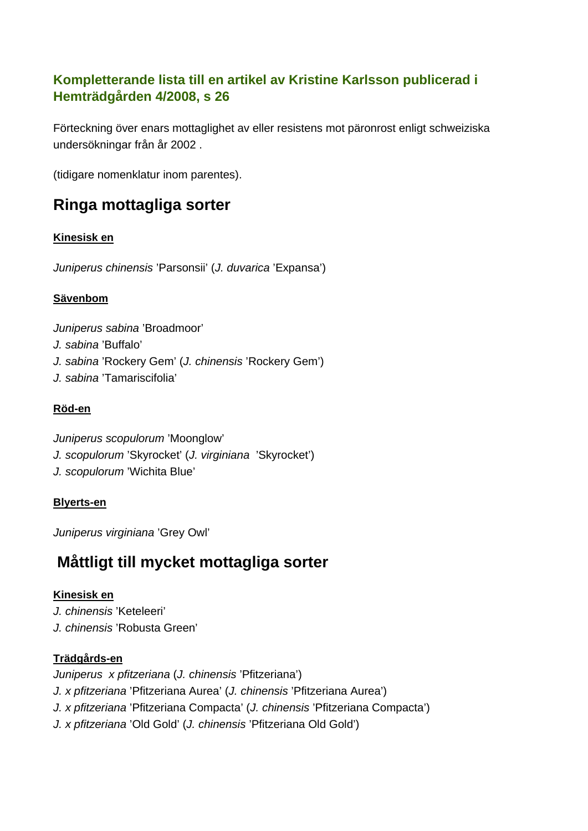# **Kompletterande lista till en artikel av Kristine Karlsson publicerad i Hemträdgården 4/2008, s 26**

Förteckning över enars mottaglighet av eller resistens mot päronrost enligt schweiziska undersökningar från år 2002 .

(tidigare nomenklatur inom parentes).

# **Ringa mottagliga sorter**

## **Kinesisk en**

*Juniperus chinensis* 'Parsonsii' (*J. duvarica* 'Expansa')

## **Sävenbom**

*Juniperus sabina* 'Broadmoor' *J. sabina* 'Buffalo' *J. sabina* 'Rockery Gem' (*J. chinensis* 'Rockery Gem') *J. sabina* 'Tamariscifolia'

## **Röd-en**

*Juniperus scopulorum* 'Moonglow' *J. scopulorum* 'Skyrocket' (*J. virginiana* 'Skyrocket') *J. scopulorum* 'Wichita Blue'

### **Blyerts-en**

*Juniperus virginiana* 'Grey Owl'

# **Måttligt till mycket mottagliga sorter**

### **Kinesisk en**

*J. chinensis* 'Keteleeri' *J. chinensis* 'Robusta Green'

### **Trädgårds-en**

*Juniperus x pfitzeriana* (*J. chinensis* 'Pfitzeriana') *J. x pfitzeriana* 'Pfitzeriana Aurea' (*J. chinensis* 'Pfitzeriana Aurea') *J. x pfitzeriana* 'Pfitzeriana Compacta' (*J. chinensis* 'Pfitzeriana Compacta') *J. x pfitzeriana* 'Old Gold' (*J. chinensis* 'Pfitzeriana Old Gold')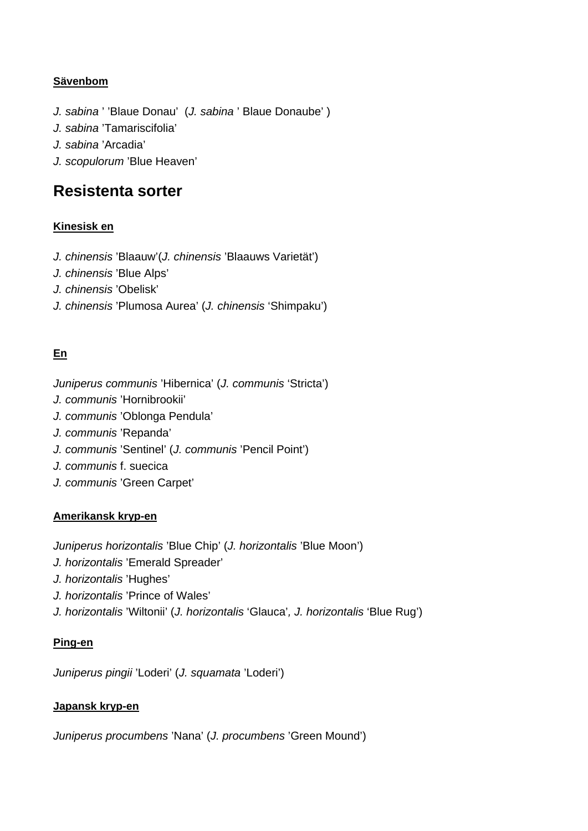### **Sävenbom**

*J. sabina* ' 'Blaue Donau' (*J. sabina* ' Blaue Donaube' ) *J. sabina* 'Tamariscifolia' *J. sabina* 'Arcadia' *J. scopulorum* 'Blue Heaven'

# **Resistenta sorter**

### **Kinesisk en**

- *J. chinensis* 'Blaauw'(*J. chinensis* 'Blaauws Varietät')
- *J. chinensis* 'Blue Alps'
- *J. chinensis* 'Obelisk'
- *J. chinensis* 'Plumosa Aurea' (*J. chinensis* 'Shimpaku')

### **En**

- *Juniperus communis* 'Hibernica' (*J. communis* 'Stricta')
- *J. communis* 'Hornibrookii'
- *J. communis* 'Oblonga Pendula'
- *J. communis* 'Repanda'
- *J. communis* 'Sentinel' (*J. communis* 'Pencil Point')
- *J. communis* f. suecica
- *J. communis* 'Green Carpet'

### **Amerikansk kryp-en**

*Juniperus horizontalis* 'Blue Chip' (*J. horizontalis* 'Blue Moon')

- *J. horizontalis* 'Emerald Spreader'
- *J. horizontalis* 'Hughes'
- *J. horizontalis* 'Prince of Wales'
- *J. horizontalis* 'Wiltonii' (*J. horizontalis* 'Glauca'*, J. horizontalis* 'Blue Rug')

### **Ping-en**

*Juniperus pingii* 'Loderi' (*J. squamata* 'Loderi')

### **Japansk kryp-en**

*Juniperus procumbens* 'Nana' (*J. procumbens* 'Green Mound')